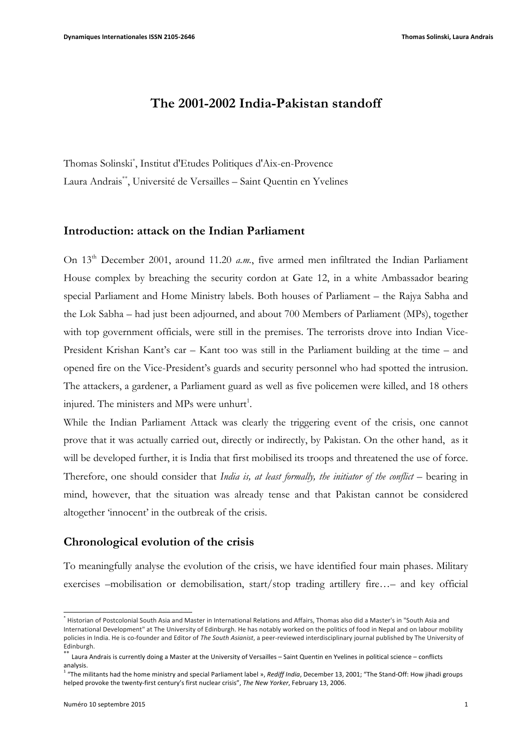## **The 2001-2002 India-Pakistan standoff**

Thomas Solinski\* , Institut d'Etudes Politiques d'Aix-en-Provence Laura Andrais\*\*, Université de Versailles – Saint Quentin en Yvelines

### **Introduction: attack on the Indian Parliament**

On 13<sup>th</sup> December 2001, around 11.20 *a.m.*, five armed men infiltrated the Indian Parliament House complex by breaching the security cordon at Gate 12, in a white Ambassador bearing special Parliament and Home Ministry labels. Both houses of Parliament – the Rajya Sabha and the Lok Sabha – had just been adjourned, and about 700 Members of Parliament (MPs), together with top government officials, were still in the premises. The terrorists drove into Indian Vice-President Krishan Kant's car – Kant too was still in the Parliament building at the time – and opened fire on the Vice-President's guards and security personnel who had spotted the intrusion. The attackers, a gardener, a Parliament guard as well as five policemen were killed, and 18 others injured. The ministers and MPs were unhurt<sup>1</sup>.

While the Indian Parliament Attack was clearly the triggering event of the crisis, one cannot prove that it was actually carried out, directly or indirectly, by Pakistan. On the other hand, as it will be developed further, it is India that first mobilised its troops and threatened the use of force. Therefore, one should consider that *India is, at least formally, the initiator of the conflict* – bearing in mind, however, that the situation was already tense and that Pakistan cannot be considered altogether 'innocent' in the outbreak of the crisis.

### **Chronological evolution of the crisis**

To meaningfully analyse the evolution of the crisis, we have identified four main phases. Military exercises –mobilisation or demobilisation, start/stop trading artillery fire…– and key official

 $^{\ast}$  Historian of Postcolonial South Asia and Master in International Relations and Affairs, Thomas also did a Master's in "South Asia and International Development" at The University of Edinburgh. He has notably worked on the politics of food in Nepal and on labour mobility policies in India. He is co-founder and Editor of *The South Asianist*, a peer-reviewed interdisciplinary journal published by The University of Edinburgh.

Laura Andrais is currently doing a Master at the University of Versailles - Saint Quentin en Yvelines in political science - conflicts analysis.

<sup>&</sup>lt;sup>1</sup> "The militants had the home ministry and special Parliament label », *Rediff India*, December 13, 2001; "The Stand-Off: How jihadi groups helped provoke the twenty-first century's first nuclear crisis", The New Yorker, February 13, 2006.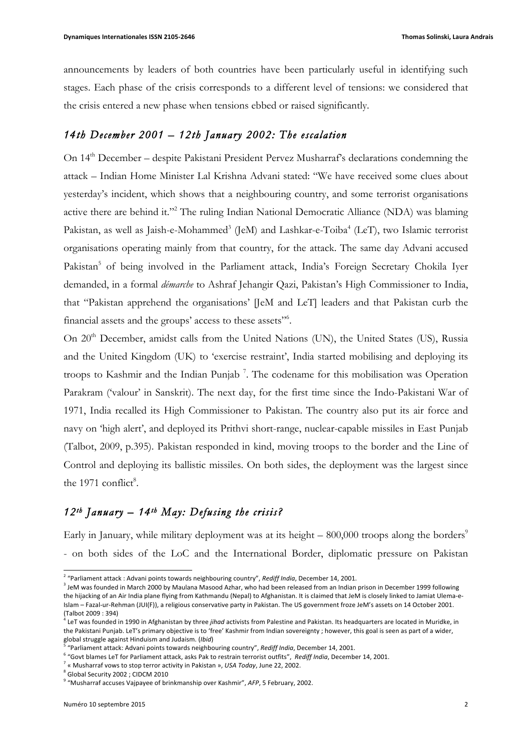announcements by leaders of both countries have been particularly useful in identifying such stages. Each phase of the crisis corresponds to a different level of tensions: we considered that the crisis entered a new phase when tensions ebbed or raised significantly.

## *14th December 2001 – 12th January 2002: The escalation*

On 14th December – despite Pakistani President Pervez Musharraf's declarations condemning the attack – Indian Home Minister Lal Krishna Advani stated: "We have received some clues about yesterday's incident, which shows that a neighbouring country, and some terrorist organisations active there are behind it."<sup>2</sup> The ruling Indian National Democratic Alliance (NDA) was blaming Pakistan, as well as Jaish-e-Mohammed<sup>3</sup> (JeM) and Lashkar-e-Toiba<sup>4</sup> (LeT), two Islamic terrorist organisations operating mainly from that country, for the attack. The same day Advani accused Pakistan<sup>5</sup> of being involved in the Parliament attack, India's Foreign Secretary Chokila Iyer demanded, in a formal *démarche* to Ashraf Jehangir Qazi, Pakistan's High Commissioner to India, that "Pakistan apprehend the organisations' [JeM and LeT] leaders and that Pakistan curb the financial assets and the groups' access to these assets"<sup>6</sup>.

On 20<sup>th</sup> December, amidst calls from the United Nations (UN), the United States (US), Russia and the United Kingdom (UK) to 'exercise restraint', India started mobilising and deploying its troops to Kashmir and the Indian Punjab<sup>7</sup>. The codename for this mobilisation was Operation Parakram ('valour' in Sanskrit). The next day, for the first time since the Indo-Pakistani War of 1971, India recalled its High Commissioner to Pakistan. The country also put its air force and navy on 'high alert', and deployed its Prithvi short-range, nuclear-capable missiles in East Punjab (Talbot, 2009, p.395). Pakistan responded in kind, moving troops to the border and the Line of Control and deploying its ballistic missiles. On both sides, the deployment was the largest since the 1971 conflict $8$ .

## *12th January – 14th May: Defusing the crisis?*

Early in January, while military deployment was at its height  $-$  800,000 troops along the borders<sup>9</sup> - on both sides of the LoC and the International Border, diplomatic pressure on Pakistan

<sup>&</sup>lt;sup>2</sup> "Parliament attack : Advani points towards neighbouring country", *Rediff India*, December 14, 2001.

 $3$  JeM was founded in March 2000 by Maulana Masood Azhar, who had been released from an Indian prison in December 1999 following the hijacking of an Air India plane flying from Kathmandu (Nepal) to Afghanistan. It is claimed that JeM is closely linked to Jamiat Ulema-e-Islam - Fazal-ur-Rehman (JUI(F)), a religious conservative party in Pakistan. The US government froze JeM's assets on 14 October 2001. (Talbot 2009 : 394)

<sup>&</sup>lt;sup>4</sup> LeT was founded in 1990 in Afghanistan by three *jihad* activists from Palestine and Pakistan. Its headquarters are located in Muridke, in the Pakistani Punjab. LeT's primary objective is to 'free' Kashmir from Indian sovereignty; however, this goal is seen as part of a wider, global struggle against Hinduism and Judaism. (*Ibid*)

<sup>&</sup>lt;sup>5</sup> "Parliament attack: Advani points towards neighbouring country", Rediff India, December 14, 2001.

 $6$  "Govt blames LeT for Parliament attack, asks Pak to restrain terrorist outfits", Rediff India, December 14, 2001.

 $7$  « Musharraf vows to stop terror activity in Pakistan », USA Today, June 22, 2002.

 $8$  Global Security 2002 ; CIDCM 2010

<sup>&</sup>lt;sup>9</sup> "Musharraf accuses Vajpayee of brinkmanship over Kashmir", AFP, 5 February, 2002.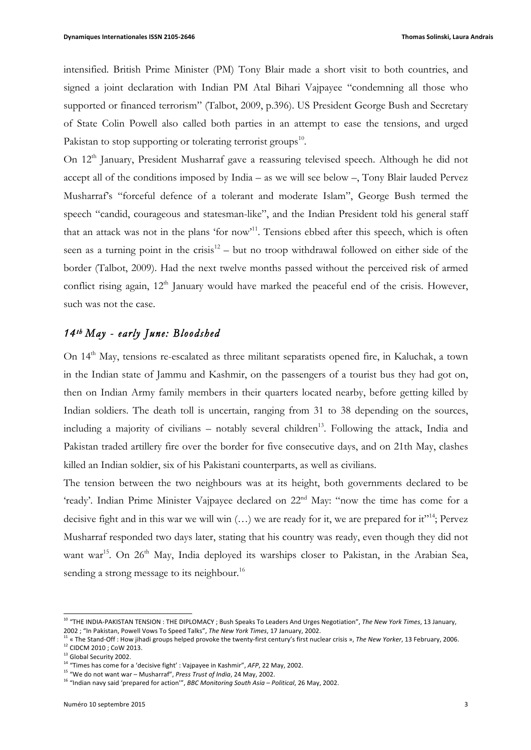intensified. British Prime Minister (PM) Tony Blair made a short visit to both countries, and signed a joint declaration with Indian PM Atal Bihari Vajpayee "condemning all those who supported or financed terrorism" (Talbot, 2009, p.396). US President George Bush and Secretary of State Colin Powell also called both parties in an attempt to ease the tensions, and urged Pakistan to stop supporting or tolerating terrorist groups<sup>10</sup>.

On 12<sup>th</sup> January, President Musharraf gave a reassuring televised speech. Although he did not accept all of the conditions imposed by India – as we will see below –, Tony Blair lauded Pervez Musharraf's "forceful defence of a tolerant and moderate Islam", George Bush termed the speech "candid, courageous and statesman-like", and the Indian President told his general staff that an attack was not in the plans 'for now'11. Tensions ebbed after this speech, which is often seen as a turning point in the crisis<sup>12</sup> – but no troop withdrawal followed on either side of the border (Talbot, 2009). Had the next twelve months passed without the perceived risk of armed conflict rising again,  $12<sup>th</sup>$  January would have marked the peaceful end of the crisis. However, such was not the case.

## *14th May - early June: Bloodshed*

On 14<sup>th</sup> May, tensions re-escalated as three militant separatists opened fire, in Kaluchak, a town in the Indian state of Jammu and Kashmir, on the passengers of a tourist bus they had got on, then on Indian Army family members in their quarters located nearby, before getting killed by Indian soldiers. The death toll is uncertain, ranging from 31 to 38 depending on the sources, including a majority of civilians – notably several children<sup>13</sup>. Following the attack, India and Pakistan traded artillery fire over the border for five consecutive days, and on 21th May, clashes killed an Indian soldier, six of his Pakistani counterparts, as well as civilians.

The tension between the two neighbours was at its height, both governments declared to be 'ready'. Indian Prime Minister Vajpayee declared on 22<sup>nd</sup> May: "now the time has come for a decisive fight and in this war we will win  $(...)$  we are ready for it, we are prepared for it"<sup>14</sup>; Pervez Musharraf responded two days later, stating that his country was ready, even though they did not want war<sup>15</sup>. On 26<sup>th</sup> May, India deployed its warships closer to Pakistan, in the Arabian Sea, sending a strong message to its neighbour.<sup>16</sup>

<sup>&</sup>lt;sup>10</sup> "THE INDIA-PAKISTAN TENSION : THE DIPLOMACY ; Bush Speaks To Leaders And Urges Negotiation", The New York Times, 13 January, 2002 ; "In Pakistan, Powell Vows To Speed Talks", The New York Times, 17 January, 2002.

<sup>&</sup>lt;sup>11</sup> « The Stand-Off : How jihadi groups helped provoke the twenty-first century's first nuclear crisis », The New Yorker, 13 February, 2006. <sup>12</sup> CIDCM 2010 ; CoW 2013.

<sup>&</sup>lt;sup>13</sup> Global Security 2002.

<sup>&</sup>lt;sup>14</sup> "Times has come for a 'decisive fight' : Vajpayee in Kashmir", *AFP*, 22 May, 2002.

<sup>&</sup>lt;sup>15</sup> "We do not want war – Musharraf", *Press Trust of India*, 24 May, 2002.

<sup>&</sup>lt;sup>16</sup> "Indian navy said 'prepared for action'", *BBC Monitoring South Asia – Political*, 26 May, 2002.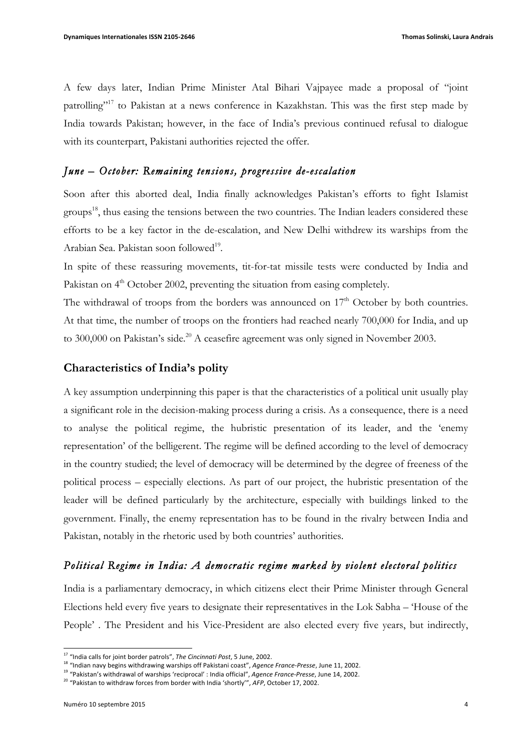A few days later, Indian Prime Minister Atal Bihari Vajpayee made a proposal of "joint patrolling"<sup>17</sup> to Pakistan at a news conference in Kazakhstan. This was the first step made by India towards Pakistan; however, in the face of India's previous continued refusal to dialogue with its counterpart, Pakistani authorities rejected the offer.

## *June – October: Remaining tensions, progressive de-escalation*

Soon after this aborted deal, India finally acknowledges Pakistan's efforts to fight Islamist groups<sup>18</sup>, thus easing the tensions between the two countries. The Indian leaders considered these efforts to be a key factor in the de-escalation, and New Delhi withdrew its warships from the Arabian Sea. Pakistan soon followed<sup>19</sup>.

In spite of these reassuring movements, tit-for-tat missile tests were conducted by India and Pakistan on 4<sup>th</sup> October 2002, preventing the situation from easing completely.

The withdrawal of troops from the borders was announced on  $17<sup>th</sup>$  October by both countries. At that time, the number of troops on the frontiers had reached nearly 700,000 for India, and up to 300,000 on Pakistan's side.<sup>20</sup> A ceasefire agreement was only signed in November 2003.

#### **Characteristics of India's polity**

A key assumption underpinning this paper is that the characteristics of a political unit usually play a significant role in the decision-making process during a crisis. As a consequence, there is a need to analyse the political regime, the hubristic presentation of its leader, and the 'enemy representation' of the belligerent. The regime will be defined according to the level of democracy in the country studied; the level of democracy will be determined by the degree of freeness of the political process – especially elections. As part of our project, the hubristic presentation of the leader will be defined particularly by the architecture, especially with buildings linked to the government. Finally, the enemy representation has to be found in the rivalry between India and Pakistan, notably in the rhetoric used by both countries' authorities.

#### *Political Regime in India: A democratic regime marked by violent electoral politics*

India is a parliamentary democracy, in which citizens elect their Prime Minister through General Elections held every five years to designate their representatives in the Lok Sabha – 'House of the People' . The President and his Vice-President are also elected every five years, but indirectly,

<sup>&</sup>lt;sup>17</sup> "India calls for joint border patrols", The Cincinnati Post, 5 June, 2002.

<sup>&</sup>lt;sup>18</sup> "Indian navy begins withdrawing warships off Pakistani coast", Agence France-Presse, June 11, 2002.

<sup>&</sup>lt;sup>19</sup> "Pakistan's withdrawal of warships 'reciprocal' : India official", *Agence France-Presse*, June 14, 2002.

<sup>&</sup>lt;sup>20</sup> "Pakistan to withdraw forces from border with India 'shortly'", AFP, October 17, 2002.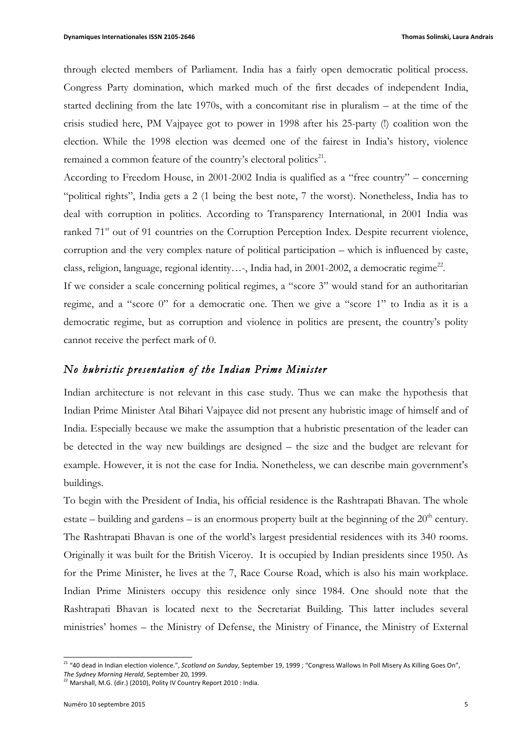through elected members of Parliament. India has a fairly open democratic political process. Congress Party domination, which marked much of the first decades of independent India, started declining from the late 1970s, with a concomitant rise in pluralism – at the time of the crisis studied here, PM Vajpayee got to power in 1998 after his 25-party (!) coalition won the election. While the 1998 election was deemed one of the fairest in India's history, violence remained a common feature of the country's electoral politics<sup>21</sup>.

According to Freedom House, in 2001-2002 India is qualified as a "free country" – concerning "political rights", India gets a 2 (1 being the best note, 7 the worst). Nonetheless, India has to deal with corruption in politics. According to Transparency International, in 2001 India was ranked 71<sup>st</sup> out of 91 countries on the Corruption Perception Index. Despite recurrent violence, corruption and the very complex nature of political participation – which is influenced by caste, class, religion, language, regional identity...-, India had, in 2001-2002, a democratic regime<sup>22</sup>.

If we consider a scale concerning political regimes, a "score 3" would stand for an authoritarian regime, and a "score 0" for a democratic one. Then we give a "score 1" to India as it is a democratic regime, but as corruption and violence in politics are present, the country's polity cannot receive the perfect mark of 0.

## *No hubristic presentation of the Indian Prime Minister*

Indian architecture is not relevant in this case study. Thus we can make the hypothesis that Indian Prime Minister Atal Bihari Vajpayee did not present any hubristic image of himself and of India. Especially because we make the assumption that a hubristic presentation of the leader can be detected in the way new buildings are designed – the size and the budget are relevant for example. However, it is not the case for India. Nonetheless, we can describe main government's buildings.

To begin with the President of India, his official residence is the Rashtrapati Bhavan. The whole estate – building and gardens – is an enormous property built at the beginning of the  $20<sup>th</sup>$  century. The Rashtrapati Bhavan is one of the world's largest presidential residences with its 340 rooms. Originally it was built for the British Viceroy. It is occupied by Indian presidents since 1950. As for the Prime Minister, he lives at the 7, Race Course Road, which is also his main workplace. Indian Prime Ministers occupy this residence only since 1984. One should note that the Rashtrapati Bhavan is located next to the Secretariat Building. This latter includes several ministries' homes – the Ministry of Defense, the Ministry of Finance, the Ministry of External

<sup>&</sup>lt;sup>21</sup> "40 dead in Indian election violence.", *Scotland on Sunday*, September 19, 1999 ; "Congress Wallows In Poll Misery As Killing Goes On", The Sydney Morning Herald, September 20, 1999.

 $^{22}$  Marshall, M.G. (dir.) (2010), Polity IV Country Report 2010 : India.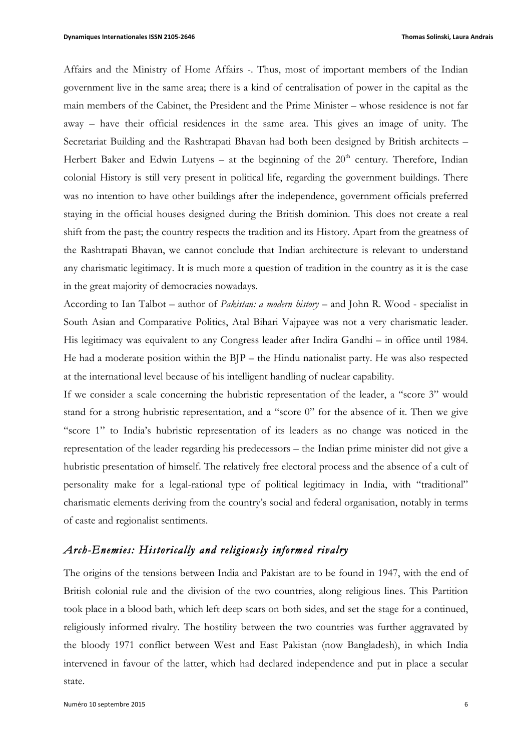Affairs and the Ministry of Home Affairs -. Thus, most of important members of the Indian government live in the same area; there is a kind of centralisation of power in the capital as the main members of the Cabinet, the President and the Prime Minister – whose residence is not far away – have their official residences in the same area. This gives an image of unity. The Secretariat Building and the Rashtrapati Bhavan had both been designed by British architects – Herbert Baker and Edwin Lutyens – at the beginning of the  $20<sup>th</sup>$  century. Therefore, Indian colonial History is still very present in political life, regarding the government buildings. There was no intention to have other buildings after the independence, government officials preferred staying in the official houses designed during the British dominion. This does not create a real shift from the past; the country respects the tradition and its History. Apart from the greatness of the Rashtrapati Bhavan, we cannot conclude that Indian architecture is relevant to understand any charismatic legitimacy. It is much more a question of tradition in the country as it is the case in the great majority of democracies nowadays.

According to Ian Talbot – author of *Pakistan: a modern history –* and John R. Wood - specialist in South Asian and Comparative Politics, Atal Bihari Vajpayee was not a very charismatic leader. His legitimacy was equivalent to any Congress leader after Indira Gandhi – in office until 1984. He had a moderate position within the BJP – the Hindu nationalist party. He was also respected at the international level because of his intelligent handling of nuclear capability.

If we consider a scale concerning the hubristic representation of the leader, a "score 3" would stand for a strong hubristic representation, and a "score 0" for the absence of it. Then we give "score 1" to India's hubristic representation of its leaders as no change was noticed in the representation of the leader regarding his predecessors – the Indian prime minister did not give a hubristic presentation of himself. The relatively free electoral process and the absence of a cult of personality make for a legal-rational type of political legitimacy in India, with "traditional" charismatic elements deriving from the country's social and federal organisation, notably in terms of caste and regionalist sentiments.

## *Arch-Enemies: Historically and religiously informed rivalry*

The origins of the tensions between India and Pakistan are to be found in 1947, with the end of British colonial rule and the division of the two countries, along religious lines. This Partition took place in a blood bath, which left deep scars on both sides, and set the stage for a continued, religiously informed rivalry. The hostility between the two countries was further aggravated by the bloody 1971 conflict between West and East Pakistan (now Bangladesh), in which India intervened in favour of the latter, which had declared independence and put in place a secular state.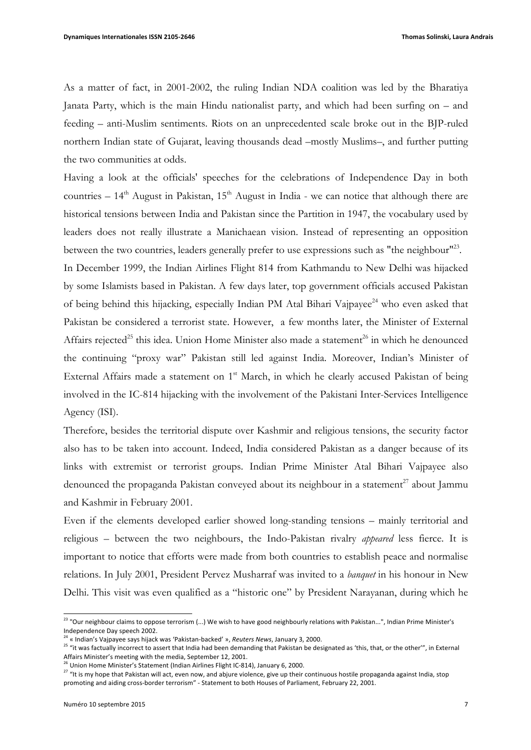As a matter of fact, in 2001-2002, the ruling Indian NDA coalition was led by the Bharatiya Janata Party, which is the main Hindu nationalist party, and which had been surfing on – and feeding – anti-Muslim sentiments. Riots on an unprecedented scale broke out in the BJP-ruled northern Indian state of Gujarat, leaving thousands dead –mostly Muslims–, and further putting the two communities at odds.

Having a look at the officials' speeches for the celebrations of Independence Day in both countries –  $14<sup>th</sup>$  August in Pakistan,  $15<sup>th</sup>$  August in India - we can notice that although there are historical tensions between India and Pakistan since the Partition in 1947, the vocabulary used by leaders does not really illustrate a Manichaean vision. Instead of representing an opposition between the two countries, leaders generally prefer to use expressions such as "the neighbour"<sup>23</sup>.

In December 1999, the Indian Airlines Flight 814 from Kathmandu to New Delhi was hijacked by some Islamists based in Pakistan. A few days later, top government officials accused Pakistan of being behind this hijacking, especially Indian PM Atal Bihari Vajpayee<sup>24</sup> who even asked that Pakistan be considered a terrorist state. However, a few months later, the Minister of External Affairs rejected<sup>25</sup> this idea. Union Home Minister also made a statement<sup>26</sup> in which he denounced the continuing "proxy war" Pakistan still led against India. Moreover, Indian's Minister of External Affairs made a statement on 1<sup>st</sup> March, in which he clearly accused Pakistan of being involved in the IC-814 hijacking with the involvement of the Pakistani Inter-Services Intelligence Agency (ISI).

Therefore, besides the territorial dispute over Kashmir and religious tensions, the security factor also has to be taken into account. Indeed, India considered Pakistan as a danger because of its links with extremist or terrorist groups. Indian Prime Minister Atal Bihari Vajpayee also denounced the propaganda Pakistan conveyed about its neighbour in a statement<sup>27</sup> about Jammu and Kashmir in February 2001.

Even if the elements developed earlier showed long-standing tensions – mainly territorial and religious – between the two neighbours, the Indo-Pakistan rivalry *appeared* less fierce. It is important to notice that efforts were made from both countries to establish peace and normalise relations. In July 2001, President Pervez Musharraf was invited to a *banquet* in his honour in New Delhi. This visit was even qualified as a "historic one" by President Narayanan, during which he

 $^{23}$  "Our neighbour claims to oppose terrorism (...) We wish to have good neighbourly relations with Pakistan...", Indian Prime Minister's Independence Day speech 2002. 

<sup>&</sup>lt;sup>24</sup> « Indian's Vajpayee says hijack was 'Pakistan-backed' », *Reuters News*, January 3, 2000.

<sup>&</sup>lt;sup>25</sup> "it was factually incorrect to assert that India had been demanding that Pakistan be designated as 'this, that, or the other'", in External Affairs Minister's meeting with the media, September 12, 2001.

 $^6$  Union Home Minister's Statement (Indian Airlines Flight IC-814), January 6, 2000.

<sup>&</sup>lt;sup>27</sup> "It is my hope that Pakistan will act, even now, and abjure violence, give up their continuous hostile propaganda against India, stop promoting and aiding cross-border terrorism" - Statement to both Houses of Parliament, February 22, 2001.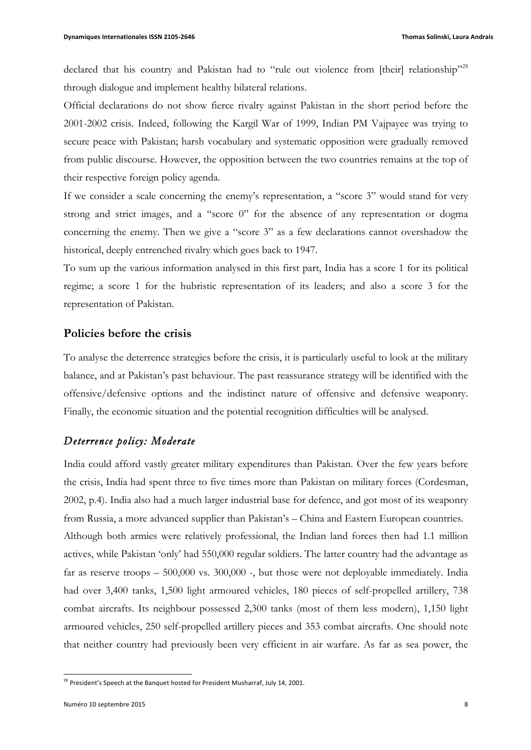declared that his country and Pakistan had to "rule out violence from [their] relationship"<sup>28</sup> through dialogue and implement healthy bilateral relations.

Official declarations do not show fierce rivalry against Pakistan in the short period before the 2001-2002 crisis. Indeed, following the Kargil War of 1999, Indian PM Vajpayee was trying to secure peace with Pakistan; harsh vocabulary and systematic opposition were gradually removed from public discourse. However, the opposition between the two countries remains at the top of their respective foreign policy agenda.

If we consider a scale concerning the enemy's representation, a "score 3" would stand for very strong and strict images, and a "score 0" for the absence of any representation or dogma concerning the enemy. Then we give a "score 3" as a few declarations cannot overshadow the historical, deeply entrenched rivalry which goes back to 1947.

To sum up the various information analysed in this first part, India has a score 1 for its political regime; a score 1 for the hubristic representation of its leaders; and also a score 3 for the representation of Pakistan.

### **Policies before the crisis**

To analyse the deterrence strategies before the crisis, it is particularly useful to look at the military balance, and at Pakistan's past behaviour. The past reassurance strategy will be identified with the offensive/defensive options and the indistinct nature of offensive and defensive weaponry. Finally, the economic situation and the potential recognition difficulties will be analysed.

## *Deterrence policy: Moderate*

India could afford vastly greater military expenditures than Pakistan. Over the few years before the crisis, India had spent three to five times more than Pakistan on military forces (Cordesman, 2002, p.4). India also had a much larger industrial base for defence, and got most of its weaponry from Russia, a more advanced supplier than Pakistan's – China and Eastern European countries. Although both armies were relatively professional, the Indian land forces then had 1.1 million actives, while Pakistan 'only' had 550,000 regular soldiers. The latter country had the advantage as far as reserve troops – 500,000 vs. 300,000 -, but those were not deployable immediately. India had over 3,400 tanks, 1,500 light armoured vehicles, 180 pieces of self-propelled artillery, 738 combat aircrafts. Its neighbour possessed 2,300 tanks (most of them less modern), 1,150 light armoured vehicles, 250 self-propelled artillery pieces and 353 combat aircrafts. One should note that neither country had previously been very efficient in air warfare. As far as sea power, the

 $^{28}$  President's Speech at the Banquet hosted for President Musharraf, July 14, 2001.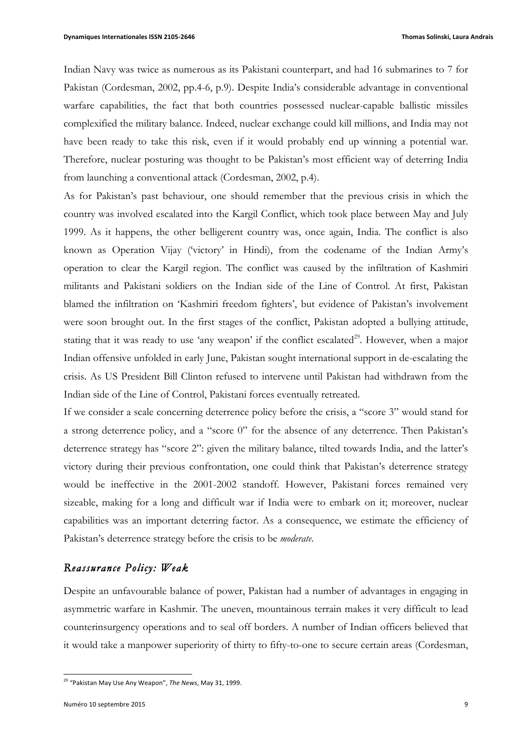Indian Navy was twice as numerous as its Pakistani counterpart, and had 16 submarines to 7 for Pakistan (Cordesman, 2002, pp.4-6, p.9). Despite India's considerable advantage in conventional warfare capabilities, the fact that both countries possessed nuclear-capable ballistic missiles complexified the military balance. Indeed, nuclear exchange could kill millions, and India may not have been ready to take this risk, even if it would probably end up winning a potential war. Therefore, nuclear posturing was thought to be Pakistan's most efficient way of deterring India from launching a conventional attack (Cordesman, 2002, p.4).

As for Pakistan's past behaviour, one should remember that the previous crisis in which the country was involved escalated into the Kargil Conflict, which took place between May and July 1999. As it happens, the other belligerent country was, once again, India. The conflict is also known as Operation Vijay ('victory' in Hindi), from the codename of the Indian Army's operation to clear the Kargil region. The conflict was caused by the infiltration of Kashmiri militants and Pakistani soldiers on the Indian side of the Line of Control. At first, Pakistan blamed the infiltration on 'Kashmiri freedom fighters', but evidence of Pakistan's involvement were soon brought out. In the first stages of the conflict, Pakistan adopted a bullying attitude, stating that it was ready to use 'any weapon' if the conflict escalated<sup>29</sup>. However, when a major Indian offensive unfolded in early June, Pakistan sought international support in de-escalating the crisis. As US President Bill Clinton refused to intervene until Pakistan had withdrawn from the Indian side of the Line of Control, Pakistani forces eventually retreated.

If we consider a scale concerning deterrence policy before the crisis, a "score 3" would stand for a strong deterrence policy, and a "score 0" for the absence of any deterrence. Then Pakistan's deterrence strategy has "score 2": given the military balance, tilted towards India, and the latter's victory during their previous confrontation, one could think that Pakistan's deterrence strategy would be ineffective in the 2001-2002 standoff. However, Pakistani forces remained very sizeable, making for a long and difficult war if India were to embark on it; moreover, nuclear capabilities was an important deterring factor. As a consequence, we estimate the efficiency of Pakistan's deterrence strategy before the crisis to be *moderate*.

### *Reassurance Policy: Weak*

Despite an unfavourable balance of power, Pakistan had a number of advantages in engaging in asymmetric warfare in Kashmir. The uneven, mountainous terrain makes it very difficult to lead counterinsurgency operations and to seal off borders. A number of Indian officers believed that it would take a manpower superiority of thirty to fifty-to-one to secure certain areas (Cordesman,

<sup>&</sup>lt;sup>29</sup> "Pakistan May Use Any Weapon", The News, May 31, 1999.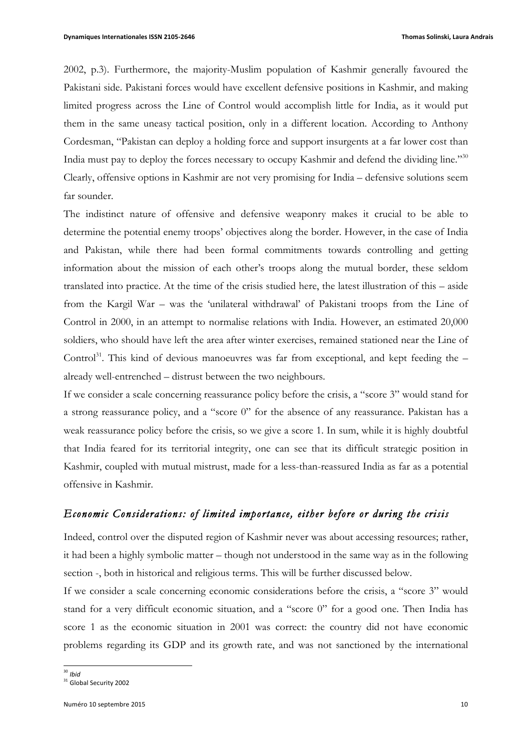2002, p.3). Furthermore, the majority-Muslim population of Kashmir generally favoured the Pakistani side. Pakistani forces would have excellent defensive positions in Kashmir, and making limited progress across the Line of Control would accomplish little for India, as it would put them in the same uneasy tactical position, only in a different location. According to Anthony Cordesman, "Pakistan can deploy a holding force and support insurgents at a far lower cost than India must pay to deploy the forces necessary to occupy Kashmir and defend the dividing line."<sup>30</sup> Clearly, offensive options in Kashmir are not very promising for India – defensive solutions seem far sounder.

The indistinct nature of offensive and defensive weaponry makes it crucial to be able to determine the potential enemy troops' objectives along the border. However, in the case of India and Pakistan, while there had been formal commitments towards controlling and getting information about the mission of each other's troops along the mutual border, these seldom translated into practice. At the time of the crisis studied here, the latest illustration of this – aside from the Kargil War – was the 'unilateral withdrawal' of Pakistani troops from the Line of Control in 2000, in an attempt to normalise relations with India. However, an estimated 20,000 soldiers, who should have left the area after winter exercises, remained stationed near the Line of Control<sup>31</sup>. This kind of devious manoeuvres was far from exceptional, and kept feeding the  $$ already well-entrenched – distrust between the two neighbours.

If we consider a scale concerning reassurance policy before the crisis, a "score 3" would stand for a strong reassurance policy, and a "score 0" for the absence of any reassurance. Pakistan has a weak reassurance policy before the crisis, so we give a score 1. In sum, while it is highly doubtful that India feared for its territorial integrity, one can see that its difficult strategic position in Kashmir, coupled with mutual mistrust, made for a less-than-reassured India as far as a potential offensive in Kashmir.

## *Economic Considerations: of limited importance, either before or during the crisis*

Indeed, control over the disputed region of Kashmir never was about accessing resources; rather, it had been a highly symbolic matter – though not understood in the same way as in the following section -, both in historical and religious terms. This will be further discussed below.

If we consider a scale concerning economic considerations before the crisis, a "score 3" would stand for a very difficult economic situation, and a "score 0" for a good one. Then India has score 1 as the economic situation in 2001 was correct: the country did not have economic problems regarding its GDP and its growth rate, and was not sanctioned by the international

<sup>-</sup><sup>30</sup> *Ibid*

<sup>&</sup>lt;sup>31</sup> Global Security 2002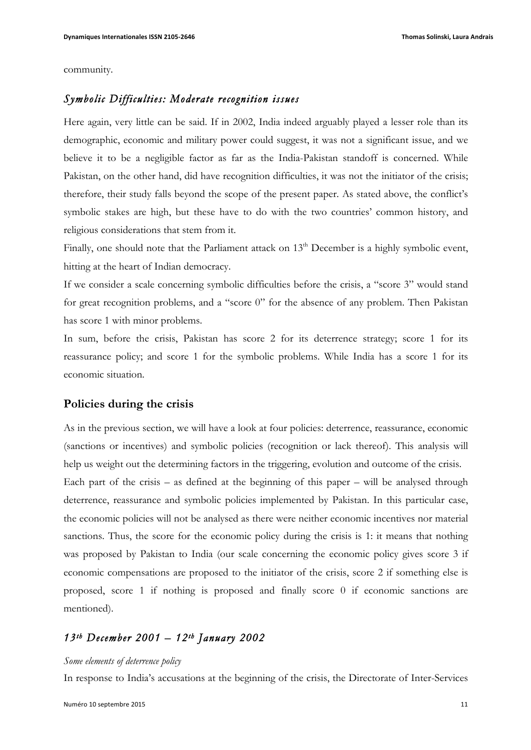community.

## *Symbolic Difficulties: Moderate recognition issues*

Here again, very little can be said. If in 2002, India indeed arguably played a lesser role than its demographic, economic and military power could suggest, it was not a significant issue, and we believe it to be a negligible factor as far as the India-Pakistan standoff is concerned. While Pakistan, on the other hand, did have recognition difficulties, it was not the initiator of the crisis; therefore, their study falls beyond the scope of the present paper. As stated above, the conflict's symbolic stakes are high, but these have to do with the two countries' common history, and religious considerations that stem from it.

Finally, one should note that the Parliament attack on 13<sup>th</sup> December is a highly symbolic event, hitting at the heart of Indian democracy.

If we consider a scale concerning symbolic difficulties before the crisis, a "score 3" would stand for great recognition problems, and a "score 0" for the absence of any problem. Then Pakistan has score 1 with minor problems.

In sum, before the crisis, Pakistan has score 2 for its deterrence strategy; score 1 for its reassurance policy; and score 1 for the symbolic problems. While India has a score 1 for its economic situation.

#### **Policies during the crisis**

As in the previous section, we will have a look at four policies: deterrence, reassurance, economic (sanctions or incentives) and symbolic policies (recognition or lack thereof). This analysis will help us weight out the determining factors in the triggering, evolution and outcome of the crisis.

Each part of the crisis – as defined at the beginning of this paper – will be analysed through deterrence, reassurance and symbolic policies implemented by Pakistan. In this particular case, the economic policies will not be analysed as there were neither economic incentives nor material sanctions. Thus, the score for the economic policy during the crisis is 1: it means that nothing was proposed by Pakistan to India (our scale concerning the economic policy gives score 3 if economic compensations are proposed to the initiator of the crisis, score 2 if something else is proposed, score 1 if nothing is proposed and finally score 0 if economic sanctions are mentioned).

## *13th December 2001 – 12th January 2002*

#### *Some elements of deterrence policy*

In response to India's accusations at the beginning of the crisis, the Directorate of Inter-Services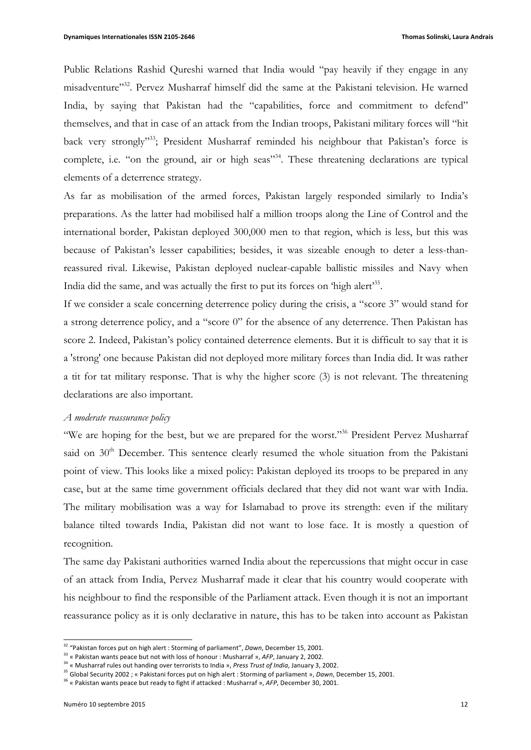Public Relations Rashid Qureshi warned that India would "pay heavily if they engage in any misadventure"<sup>32</sup>. Pervez Musharraf himself did the same at the Pakistani television. He warned India, by saying that Pakistan had the "capabilities, force and commitment to defend" themselves, and that in case of an attack from the Indian troops, Pakistani military forces will "hit back very strongly"33; President Musharraf reminded his neighbour that Pakistan's force is complete, i.e. "on the ground, air or high seas"<sup>34</sup>. These threatening declarations are typical elements of a deterrence strategy.

As far as mobilisation of the armed forces, Pakistan largely responded similarly to India's preparations. As the latter had mobilised half a million troops along the Line of Control and the international border, Pakistan deployed 300,000 men to that region, which is less, but this was because of Pakistan's lesser capabilities; besides, it was sizeable enough to deter a less-thanreassured rival. Likewise, Pakistan deployed nuclear-capable ballistic missiles and Navy when India did the same, and was actually the first to put its forces on 'high alert'<sup>35</sup>.

If we consider a scale concerning deterrence policy during the crisis, a "score 3" would stand for a strong deterrence policy, and a "score 0" for the absence of any deterrence. Then Pakistan has score 2. Indeed, Pakistan's policy contained deterrence elements. But it is difficult to say that it is a 'strong' one because Pakistan did not deployed more military forces than India did. It was rather a tit for tat military response. That is why the higher score (3) is not relevant. The threatening declarations are also important.

#### *A moderate reassurance policy*

"We are hoping for the best, but we are prepared for the worst."<sup>36</sup> President Pervez Musharraf said on  $30<sup>th</sup>$  December. This sentence clearly resumed the whole situation from the Pakistani point of view. This looks like a mixed policy: Pakistan deployed its troops to be prepared in any case, but at the same time government officials declared that they did not want war with India. The military mobilisation was a way for Islamabad to prove its strength: even if the military balance tilted towards India, Pakistan did not want to lose face. It is mostly a question of recognition.

The same day Pakistani authorities warned India about the repercussions that might occur in case of an attack from India, Pervez Musharraf made it clear that his country would cooperate with his neighbour to find the responsible of the Parliament attack. Even though it is not an important reassurance policy as it is only declarative in nature, this has to be taken into account as Pakistan

<sup>&</sup>lt;sup>32</sup> "Pakistan forces put on high alert : Storming of parliament", *Dawn*, December 15, 2001.

<sup>&</sup>lt;sup>33</sup> « Pakistan wants peace but not with loss of honour : Musharraf », *AFP*, January 2, 2002.

<sup>&</sup>lt;sup>34</sup> « Musharraf rules out handing over terrorists to India », *Press Trust of India*, January 3, 2002.

<sup>&</sup>lt;sup>35</sup> Global Security 2002 ; « Pakistani forces put on high alert : Storming of parliament », *Dawn*, December 15, 2001.

<sup>&</sup>lt;sup>36</sup> « Pakistan wants peace but ready to fight if attacked : Musharraf », AFP, December 30, 2001.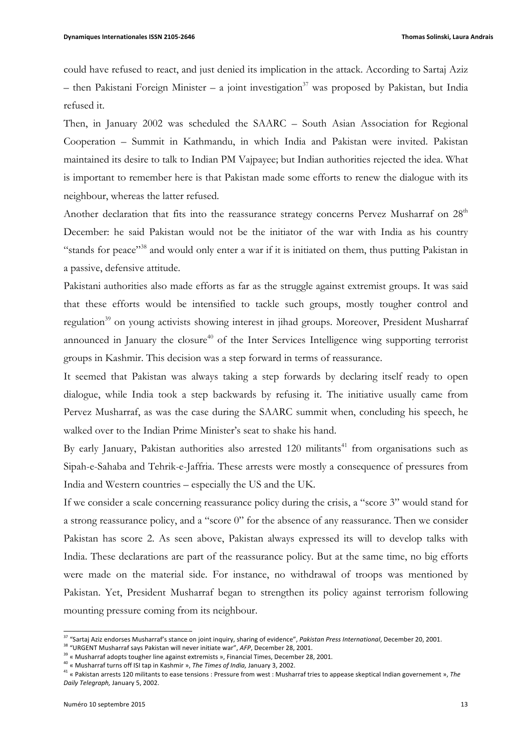could have refused to react, and just denied its implication in the attack. According to Sartaj Aziz – then Pakistani Foreign Minister – a joint investigation<sup>37</sup> was proposed by Pakistan, but India refused it.

Then, in January 2002 was scheduled the SAARC – South Asian Association for Regional Cooperation – Summit in Kathmandu, in which India and Pakistan were invited. Pakistan maintained its desire to talk to Indian PM Vajpayee; but Indian authorities rejected the idea. What is important to remember here is that Pakistan made some efforts to renew the dialogue with its neighbour, whereas the latter refused.

Another declaration that fits into the reassurance strategy concerns Pervez Musharraf on  $28<sup>th</sup>$ December: he said Pakistan would not be the initiator of the war with India as his country "stands for peace"<sup>38</sup> and would only enter a war if it is initiated on them, thus putting Pakistan in a passive, defensive attitude.

Pakistani authorities also made efforts as far as the struggle against extremist groups. It was said that these efforts would be intensified to tackle such groups, mostly tougher control and regulation<sup>39</sup> on young activists showing interest in jihad groups. Moreover, President Musharraf announced in January the closure<sup>40</sup> of the Inter Services Intelligence wing supporting terrorist groups in Kashmir. This decision was a step forward in terms of reassurance.

It seemed that Pakistan was always taking a step forwards by declaring itself ready to open dialogue, while India took a step backwards by refusing it. The initiative usually came from Pervez Musharraf, as was the case during the SAARC summit when, concluding his speech, he walked over to the Indian Prime Minister's seat to shake his hand.

By early January, Pakistan authorities also arrested  $120$  militants<sup>41</sup> from organisations such as Sipah-e-Sahaba and Tehrik-e-Jaffria. These arrests were mostly a consequence of pressures from India and Western countries – especially the US and the UK.

If we consider a scale concerning reassurance policy during the crisis, a "score 3" would stand for a strong reassurance policy, and a "score 0" for the absence of any reassurance. Then we consider Pakistan has score 2. As seen above, Pakistan always expressed its will to develop talks with India. These declarations are part of the reassurance policy. But at the same time, no big efforts were made on the material side. For instance, no withdrawal of troops was mentioned by Pakistan. Yet, President Musharraf began to strengthen its policy against terrorism following mounting pressure coming from its neighbour.

<sup>&</sup>lt;sup>37</sup> "Sartaj Aziz endorses Musharraf's stance on joint inquiry, sharing of evidence", Pakistan Press International, December 20, 2001.

<sup>&</sup>lt;sup>38</sup> "URGENT Musharraf says Pakistan will never initiate war", AFP, December 28, 2001.

 $39$  « Musharraf adopts tougher line against extremists », Financial Times, December 28, 2001.

<sup>&</sup>lt;sup>40</sup> « Musharraf turns off ISI tap in Kashmir », *The Times of India*, January 3, 2002.

<sup>&</sup>lt;sup>41</sup> « Pakistan arrests 120 militants to ease tensions : Pressure from west : Musharraf tries to appease skeptical Indian governement », The *Daily Telegraph, January 5, 2002.*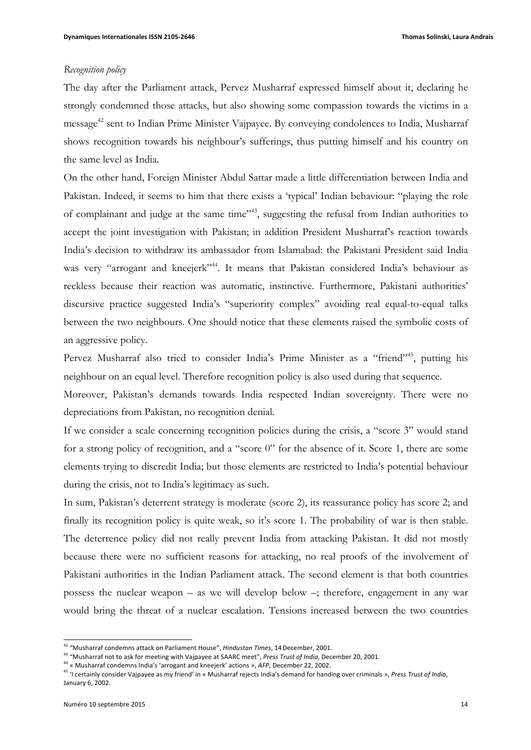#### *Recognition policy*

The day after the Parliament attack, Pervez Musharraf expressed himself about it, declaring he strongly condemned those attacks, but also showing some compassion towards the victims in a message<sup>42</sup> sent to Indian Prime Minister Vajpayee. By conveying condolences to India, Musharraf shows recognition towards his neighbour's sufferings, thus putting himself and his country on the same level as India.

On the other hand, Foreign Minister Abdul Sattar made a little differentiation between India and Pakistan. Indeed, it seems to him that there exists a 'typical' Indian behaviour: "playing the role of complainant and judge at the same time"<sup>43</sup>, suggesting the refusal from Indian authorities to accept the joint investigation with Pakistan; in addition President Musharraf's reaction towards India's decision to withdraw its ambassador from Islamabad: the Pakistani President said India was very "arrogant and kneejerk"<sup>44</sup>. It means that Pakistan considered India's behaviour as reckless because their reaction was automatic, instinctive. Furthermore, Pakistani authorities' discursive practice suggested India's "superiority complex" avoiding real equal-to-equal talks between the two neighbours. One should notice that these elements raised the symbolic costs of an aggressive policy.

Pervez Musharraf also tried to consider India's Prime Minister as a "friend"<sup>45</sup>, putting his neighbour on an equal level. Therefore recognition policy is also used during that sequence.

Moreover, Pakistan's demands towards India respected Indian sovereignty. There were no depreciations from Pakistan, no recognition denial.

If we consider a scale concerning recognition policies during the crisis, a "score 3" would stand for a strong policy of recognition, and a "score 0" for the absence of it. Score 1, there are some elements trying to discredit India; but those elements are restricted to India's potential behaviour during the crisis, not to India's legitimacy as such.

In sum, Pakistan's deterrent strategy is moderate (score 2), its reassurance policy has score 2; and finally its recognition policy is quite weak, so it's score 1. The probability of war is then stable. The deterrence policy did not really prevent India from attacking Pakistan. It did not mostly because there were no sufficient reasons for attacking, no real proofs of the involvement of Pakistani authorities in the Indian Parliament attack. The second element is that both countries possess the nuclear weapon – as we will develop below –; therefore, engagement in any war would bring the threat of a nuclear escalation. Tensions increased between the two countries

<sup>&</sup>lt;sup>42</sup> "Musharraf condemns attack on Parliament House", *Hindustan Times*, 14 December, 2001.

<sup>&</sup>lt;sup>43</sup> "Musharraf not to ask for meeting with Vajpayee at SAARC meet", Press Trust of India, December 20, 2001.

<sup>&</sup>lt;sup>44</sup> « Musharraf condemns India's 'arrogant and kneejerk' actions », AFP, December 22, 2002.

<sup>&</sup>lt;sup>45</sup> 'I certainly consider Vajpayee as my friend' in « Musharraf rejects India's demand for handing over criminals », Press Trust of India, January 6, 2002.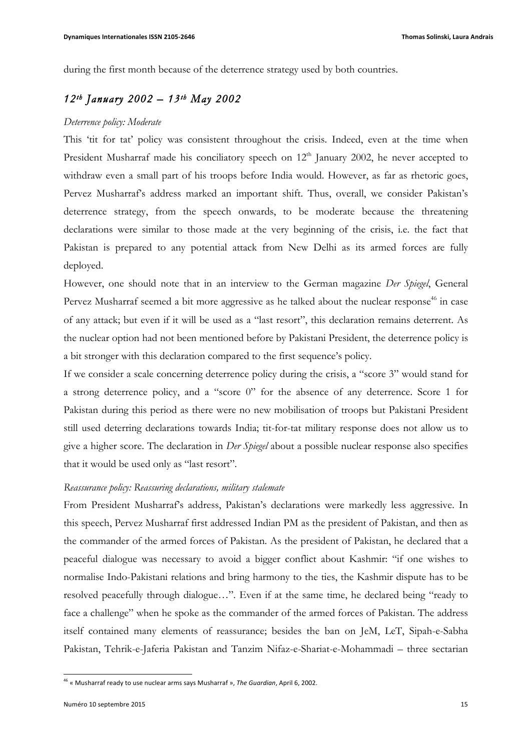during the first month because of the deterrence strategy used by both countries.

## *12th January 2002 – 13th May 2002*

#### *Deterrence policy: Moderate*

This 'tit for tat' policy was consistent throughout the crisis. Indeed, even at the time when President Musharraf made his conciliatory speech on  $12<sup>th</sup>$  January 2002, he never accepted to withdraw even a small part of his troops before India would. However, as far as rhetoric goes, Pervez Musharraf's address marked an important shift. Thus, overall, we consider Pakistan's deterrence strategy, from the speech onwards, to be moderate because the threatening declarations were similar to those made at the very beginning of the crisis, i.e. the fact that Pakistan is prepared to any potential attack from New Delhi as its armed forces are fully deployed.

However, one should note that in an interview to the German magazine *Der Spiegel*, General Pervez Musharraf seemed a bit more aggressive as he talked about the nuclear response<sup>46</sup> in case of any attack; but even if it will be used as a "last resort", this declaration remains deterrent. As the nuclear option had not been mentioned before by Pakistani President, the deterrence policy is a bit stronger with this declaration compared to the first sequence's policy.

If we consider a scale concerning deterrence policy during the crisis, a "score 3" would stand for a strong deterrence policy, and a "score 0" for the absence of any deterrence. Score 1 for Pakistan during this period as there were no new mobilisation of troops but Pakistani President still used deterring declarations towards India; tit-for-tat military response does not allow us to give a higher score. The declaration in *Der Spiegel* about a possible nuclear response also specifies that it would be used only as "last resort".

#### *Reassurance policy: Reassuring declarations, military stalemate*

From President Musharraf's address, Pakistan's declarations were markedly less aggressive. In this speech, Pervez Musharraf first addressed Indian PM as the president of Pakistan, and then as the commander of the armed forces of Pakistan. As the president of Pakistan, he declared that a peaceful dialogue was necessary to avoid a bigger conflict about Kashmir: "if one wishes to normalise Indo-Pakistani relations and bring harmony to the ties, the Kashmir dispute has to be resolved peacefully through dialogue…". Even if at the same time, he declared being "ready to face a challenge" when he spoke as the commander of the armed forces of Pakistan. The address itself contained many elements of reassurance; besides the ban on JeM, LeT, Sipah-e-Sabha Pakistan, Tehrik-e-Jaferia Pakistan and Tanzim Nifaz-e-Shariat-e-Mohammadi – three sectarian

<sup>&</sup>lt;sup>46</sup> « Musharraf ready to use nuclear arms says Musharraf », The Guardian, April 6, 2002.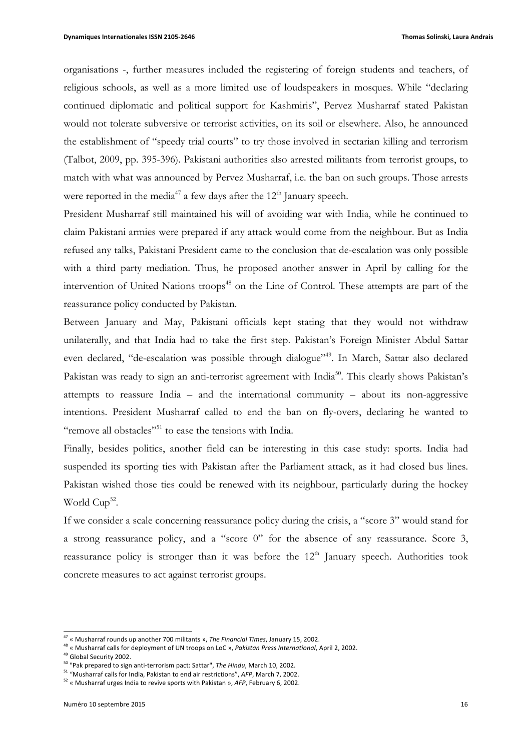organisations -, further measures included the registering of foreign students and teachers, of religious schools, as well as a more limited use of loudspeakers in mosques. While "declaring continued diplomatic and political support for Kashmiris", Pervez Musharraf stated Pakistan would not tolerate subversive or terrorist activities, on its soil or elsewhere. Also, he announced the establishment of "speedy trial courts" to try those involved in sectarian killing and terrorism (Talbot, 2009, pp. 395-396). Pakistani authorities also arrested militants from terrorist groups, to match with what was announced by Pervez Musharraf, i.e. the ban on such groups. Those arrests were reported in the media<sup>47</sup> a few days after the  $12<sup>th</sup>$  January speech.

President Musharraf still maintained his will of avoiding war with India, while he continued to claim Pakistani armies were prepared if any attack would come from the neighbour. But as India refused any talks, Pakistani President came to the conclusion that de-escalation was only possible with a third party mediation. Thus, he proposed another answer in April by calling for the intervention of United Nations troops<sup>48</sup> on the Line of Control. These attempts are part of the reassurance policy conducted by Pakistan.

Between January and May, Pakistani officials kept stating that they would not withdraw unilaterally, and that India had to take the first step. Pakistan's Foreign Minister Abdul Sattar even declared, "de-escalation was possible through dialogue"<sup>49</sup>. In March, Sattar also declared Pakistan was ready to sign an anti-terrorist agreement with India<sup>50</sup>. This clearly shows Pakistan's attempts to reassure India – and the international community – about its non-aggressive intentions. President Musharraf called to end the ban on fly-overs, declaring he wanted to "remove all obstacles"<sup>51</sup> to ease the tensions with India.

Finally, besides politics, another field can be interesting in this case study: sports. India had suspended its sporting ties with Pakistan after the Parliament attack, as it had closed bus lines. Pakistan wished those ties could be renewed with its neighbour, particularly during the hockey World  $Cup^{52}$ .

If we consider a scale concerning reassurance policy during the crisis, a "score 3" would stand for a strong reassurance policy, and a "score 0" for the absence of any reassurance. Score 3, reassurance policy is stronger than it was before the  $12<sup>th</sup>$  January speech. Authorities took concrete measures to act against terrorist groups.

<sup>&</sup>lt;sup>47</sup> « Musharraf rounds up another 700 militants », *The Financial Times*, January 15, 2002.

<sup>&</sup>lt;sup>48</sup> « Musharraf calls for deployment of UN troops on LoC », *Pakistan Press International*, April 2, 2002.

<sup>&</sup>lt;sup>49</sup> Global Security 2002.

<sup>&</sup>lt;sup>50</sup> "Pak prepared to sign anti-terrorism pact: Sattar", The Hindu, March 10, 2002.

<sup>&</sup>lt;sup>51</sup> "Musharraf calls for India, Pakistan to end air restrictions", AFP, March 7, 2002.

 $52$  « Musharraf urges India to revive sports with Pakistan »,  $AFP$ , February 6, 2002.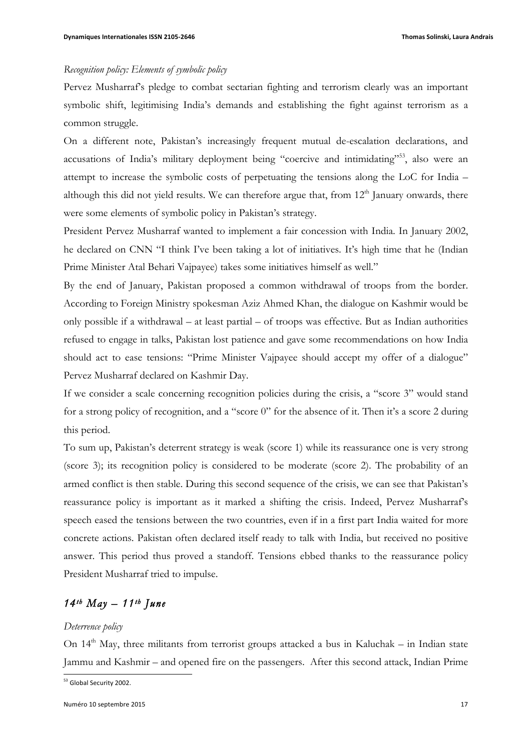#### *Recognition policy: Elements of symbolic policy*

Pervez Musharraf's pledge to combat sectarian fighting and terrorism clearly was an important symbolic shift, legitimising India's demands and establishing the fight against terrorism as a common struggle.

On a different note, Pakistan's increasingly frequent mutual de-escalation declarations, and accusations of India's military deployment being "coercive and intimidating"<sup>55</sup>, also were an attempt to increase the symbolic costs of perpetuating the tensions along the LoC for India – although this did not yield results. We can therefore argue that, from 12<sup>th</sup> January onwards, there were some elements of symbolic policy in Pakistan's strategy.

President Pervez Musharraf wanted to implement a fair concession with India. In January 2002, he declared on CNN "I think I've been taking a lot of initiatives. It's high time that he (Indian Prime Minister Atal Behari Vajpayee) takes some initiatives himself as well."

By the end of January, Pakistan proposed a common withdrawal of troops from the border. According to Foreign Ministry spokesman Aziz Ahmed Khan, the dialogue on Kashmir would be only possible if a withdrawal – at least partial – of troops was effective. But as Indian authorities refused to engage in talks, Pakistan lost patience and gave some recommendations on how India should act to ease tensions: "Prime Minister Vajpayee should accept my offer of a dialogue" Pervez Musharraf declared on Kashmir Day.

If we consider a scale concerning recognition policies during the crisis, a "score 3" would stand for a strong policy of recognition, and a "score 0" for the absence of it. Then it's a score 2 during this period.

To sum up, Pakistan's deterrent strategy is weak (score 1) while its reassurance one is very strong (score 3); its recognition policy is considered to be moderate (score 2). The probability of an armed conflict is then stable. During this second sequence of the crisis, we can see that Pakistan's reassurance policy is important as it marked a shifting the crisis. Indeed, Pervez Musharraf's speech eased the tensions between the two countries, even if in a first part India waited for more concrete actions. Pakistan often declared itself ready to talk with India, but received no positive answer. This period thus proved a standoff. Tensions ebbed thanks to the reassurance policy President Musharraf tried to impulse.

# *14th May – 11th June*

#### *Deterrence policy*

On  $14<sup>th</sup>$  May, three militants from terrorist groups attacked a bus in Kaluchak – in Indian state Jammu and Kashmir – and opened fire on the passengers. After this second attack, Indian Prime

<sup>1</sup> 53 Global Security 2002.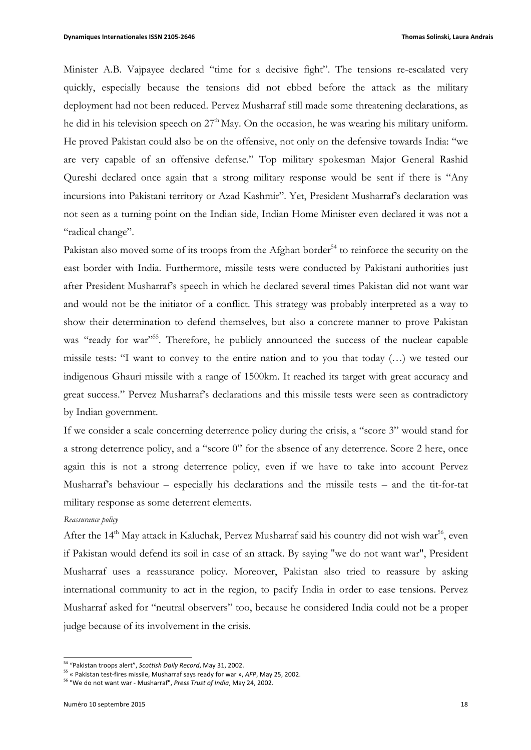Minister A.B. Vajpayee declared "time for a decisive fight". The tensions re-escalated very quickly, especially because the tensions did not ebbed before the attack as the military deployment had not been reduced. Pervez Musharraf still made some threatening declarations, as he did in his television speech on  $27<sup>th</sup>$  May. On the occasion, he was wearing his military uniform. He proved Pakistan could also be on the offensive, not only on the defensive towards India: "we are very capable of an offensive defense." Top military spokesman Major General Rashid Qureshi declared once again that a strong military response would be sent if there is "Any incursions into Pakistani territory or Azad Kashmir". Yet, President Musharraf's declaration was not seen as a turning point on the Indian side, Indian Home Minister even declared it was not a "radical change".

Pakistan also moved some of its troops from the Afghan border<sup>54</sup> to reinforce the security on the east border with India. Furthermore, missile tests were conducted by Pakistani authorities just after President Musharraf's speech in which he declared several times Pakistan did not want war and would not be the initiator of a conflict. This strategy was probably interpreted as a way to show their determination to defend themselves, but also a concrete manner to prove Pakistan was "ready for war"<sup>55</sup>. Therefore, he publicly announced the success of the nuclear capable missile tests: "I want to convey to the entire nation and to you that today (…) we tested our indigenous Ghauri missile with a range of 1500km. It reached its target with great accuracy and great success." Pervez Musharraf's declarations and this missile tests were seen as contradictory by Indian government.

If we consider a scale concerning deterrence policy during the crisis, a "score 3" would stand for a strong deterrence policy, and a "score 0" for the absence of any deterrence. Score 2 here, once again this is not a strong deterrence policy, even if we have to take into account Pervez Musharraf's behaviour – especially his declarations and the missile tests – and the tit-for-tat military response as some deterrent elements.

#### *Reassurance policy*

After the 14<sup>th</sup> May attack in Kaluchak, Pervez Musharraf said his country did not wish war<sup>56</sup>, even if Pakistan would defend its soil in case of an attack. By saying "we do not want war", President Musharraf uses a reassurance policy. Moreover, Pakistan also tried to reassure by asking international community to act in the region, to pacify India in order to ease tensions. Pervez Musharraf asked for "neutral observers" too, because he considered India could not be a proper judge because of its involvement in the crisis.

<sup>&</sup>lt;sup>54</sup> "Pakistan troops alert", Scottish Daily Record, May 31, 2002.

<sup>&</sup>lt;sup>55</sup> « Pakistan test-fires missile, Musharraf says ready for war », AFP, May 25, 2002.

<sup>&</sup>lt;sup>56</sup> "We do not want war - Musharraf", *Press Trust of India*, May 24, 2002.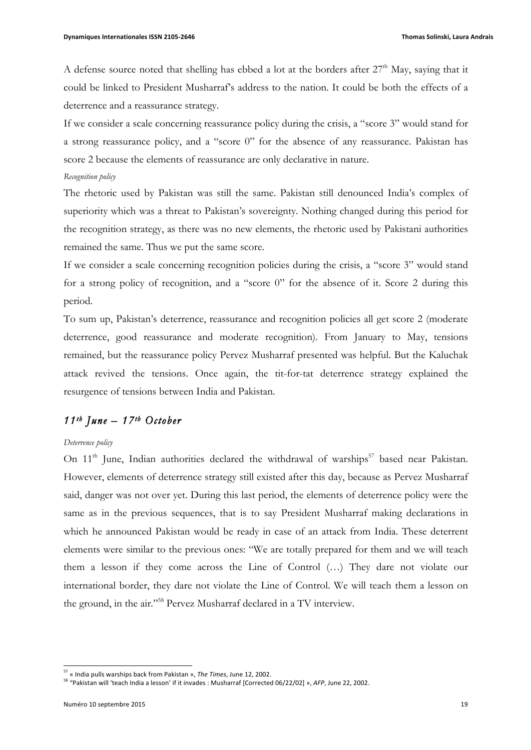A defense source noted that shelling has ebbed a lot at the borders after  $27<sup>th</sup>$  May, saying that it could be linked to President Musharraf's address to the nation. It could be both the effects of a deterrence and a reassurance strategy.

If we consider a scale concerning reassurance policy during the crisis, a "score 3" would stand for a strong reassurance policy, and a "score 0" for the absence of any reassurance. Pakistan has score 2 because the elements of reassurance are only declarative in nature.

#### *Recognition policy*

The rhetoric used by Pakistan was still the same. Pakistan still denounced India's complex of superiority which was a threat to Pakistan's sovereignty. Nothing changed during this period for the recognition strategy, as there was no new elements, the rhetoric used by Pakistani authorities remained the same. Thus we put the same score.

If we consider a scale concerning recognition policies during the crisis, a "score 3" would stand for a strong policy of recognition, and a "score 0" for the absence of it. Score 2 during this period.

To sum up, Pakistan's deterrence, reassurance and recognition policies all get score 2 (moderate deterrence, good reassurance and moderate recognition). From January to May, tensions remained, but the reassurance policy Pervez Musharraf presented was helpful. But the Kaluchak attack revived the tensions. Once again, the tit-for-tat deterrence strategy explained the resurgence of tensions between India and Pakistan.

## *11th June – 17th October*

#### *Deterrence policy*

On  $11<sup>th</sup>$  June, Indian authorities declared the withdrawal of warships<sup>57</sup> based near Pakistan. However, elements of deterrence strategy still existed after this day, because as Pervez Musharraf said, danger was not over yet. During this last period, the elements of deterrence policy were the same as in the previous sequences, that is to say President Musharraf making declarations in which he announced Pakistan would be ready in case of an attack from India. These deterrent elements were similar to the previous ones: "We are totally prepared for them and we will teach them a lesson if they come across the Line of Control (…) They dare not violate our international border, they dare not violate the Line of Control. We will teach them a lesson on the ground, in the air."58 Pervez Musharraf declared in a TV interview.

<sup>&</sup>lt;sup>57</sup> « India pulls warships back from Pakistan », The Times, June 12, 2002.

<sup>&</sup>lt;sup>58</sup> "Pakistan will 'teach India a lesson' if it invades : Musharraf [Corrected 06/22/02] », AFP, June 22, 2002.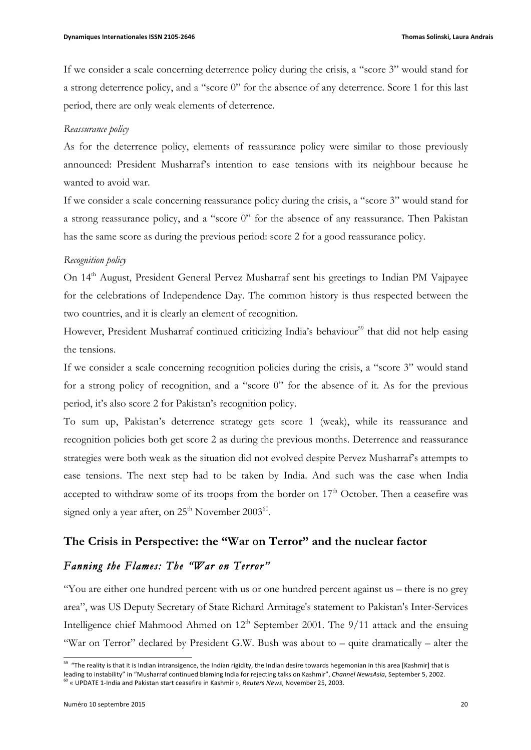If we consider a scale concerning deterrence policy during the crisis, a "score 3" would stand for a strong deterrence policy, and a "score 0" for the absence of any deterrence. Score 1 for this last period, there are only weak elements of deterrence.

#### *Reassurance policy*

As for the deterrence policy, elements of reassurance policy were similar to those previously announced: President Musharraf's intention to ease tensions with its neighbour because he wanted to avoid war.

If we consider a scale concerning reassurance policy during the crisis, a "score 3" would stand for a strong reassurance policy, and a "score 0" for the absence of any reassurance. Then Pakistan has the same score as during the previous period: score 2 for a good reassurance policy.

#### *Recognition policy*

On 14<sup>th</sup> August, President General Pervez Musharraf sent his greetings to Indian PM Vajpayee for the celebrations of Independence Day. The common history is thus respected between the two countries, and it is clearly an element of recognition.

However, President Musharraf continued criticizing India's behaviour<sup>59</sup> that did not help easing the tensions.

If we consider a scale concerning recognition policies during the crisis, a "score 3" would stand for a strong policy of recognition, and a "score 0" for the absence of it. As for the previous period, it's also score 2 for Pakistan's recognition policy.

To sum up, Pakistan's deterrence strategy gets score 1 (weak), while its reassurance and recognition policies both get score 2 as during the previous months. Deterrence and reassurance strategies were both weak as the situation did not evolved despite Pervez Musharraf's attempts to ease tensions. The next step had to be taken by India. And such was the case when India accepted to withdraw some of its troops from the border on 17<sup>th</sup> October. Then a ceasefire was signed only a year after, on  $25<sup>th</sup>$  November  $2003<sup>60</sup>$ .

## **The Crisis in Perspective: the "War on Terror" and the nuclear factor**

## *Fanning the Flames: The "War on Terror"*

"You are either one hundred percent with us or one hundred percent against us – there is no grey area", was US Deputy Secretary of State Richard Armitage's statement to Pakistan's Inter-Services Intelligence chief Mahmood Ahmed on  $12<sup>th</sup>$  September 2001. The  $9/11$  attack and the ensuing "War on Terror" declared by President G.W. Bush was about to – quite dramatically – alter the

 $^{59}$  "The reality is that it is Indian intransigence, the Indian rigidity, the Indian desire towards hegemonian in this area [Kashmir] that is leading to instability" in "Musharraf continued blaming India for rejecting talks on Kashmir", Channel NewsAsia, September 5, 2002. <sup>60</sup> « UPDATE 1-India and Pakistan start ceasefire in Kashmir », *Reuters News*, November 25, 2003.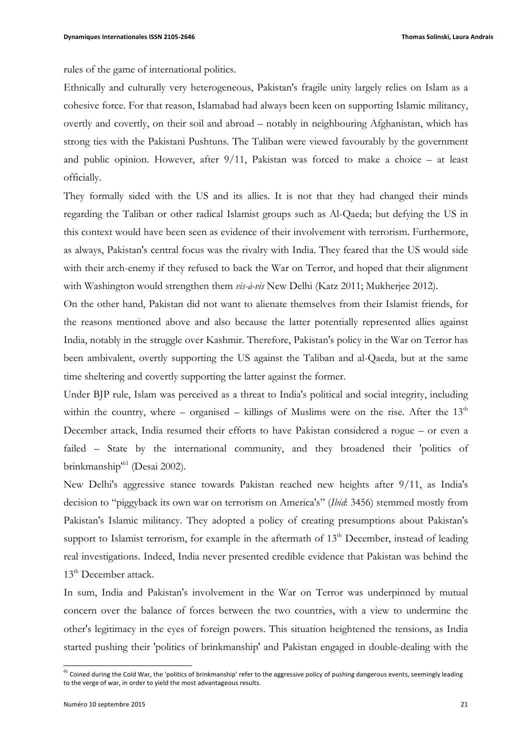rules of the game of international politics.

Ethnically and culturally very heterogeneous, Pakistan's fragile unity largely relies on Islam as a cohesive force. For that reason, Islamabad had always been keen on supporting Islamic militancy, overtly and covertly, on their soil and abroad – notably in neighbouring Afghanistan, which has strong ties with the Pakistani Pushtuns. The Taliban were viewed favourably by the government and public opinion. However, after  $9/11$ , Pakistan was forced to make a choice – at least officially.

They formally sided with the US and its allies. It is not that they had changed their minds regarding the Taliban or other radical Islamist groups such as Al-Qaeda; but defying the US in this context would have been seen as evidence of their involvement with terrorism. Furthermore, as always, Pakistan's central focus was the rivalry with India. They feared that the US would side with their arch-enemy if they refused to back the War on Terror, and hoped that their alignment with Washington would strengthen them *vis-à-vis* New Delhi (Katz 2011; Mukherjee 2012).

On the other hand, Pakistan did not want to alienate themselves from their Islamist friends, for the reasons mentioned above and also because the latter potentially represented allies against India, notably in the struggle over Kashmir. Therefore, Pakistan's policy in the War on Terror has been ambivalent, overtly supporting the US against the Taliban and al-Qaeda, but at the same time sheltering and covertly supporting the latter against the former.

Under BJP rule, Islam was perceived as a threat to India's political and social integrity, including within the country, where – organised – killings of Muslims were on the rise. After the  $13<sup>th</sup>$ December attack, India resumed their efforts to have Pakistan considered a rogue – or even a failed – State by the international community, and they broadened their 'politics of brinkmanship'61 (Desai 2002).

New Delhi's aggressive stance towards Pakistan reached new heights after 9/11, as India's decision to "piggyback its own war on terrorism on America's" (*Ibid*: 3456) stemmed mostly from Pakistan's Islamic militancy. They adopted a policy of creating presumptions about Pakistan's support to Islamist terrorism, for example in the aftermath of  $13<sup>th</sup>$  December, instead of leading real investigations. Indeed, India never presented credible evidence that Pakistan was behind the 13<sup>th</sup> December attack.

In sum, India and Pakistan's involvement in the War on Terror was underpinned by mutual concern over the balance of forces between the two countries, with a view to undermine the other's legitimacy in the eyes of foreign powers. This situation heightened the tensions, as India started pushing their 'politics of brinkmanship' and Pakistan engaged in double-dealing with the

<sup>&</sup>lt;sup>61</sup> Coined during the Cold War, the 'politics of brinkmanship' refer to the aggressive policy of pushing dangerous events, seemingly leading to the verge of war, in order to yield the most advantageous results.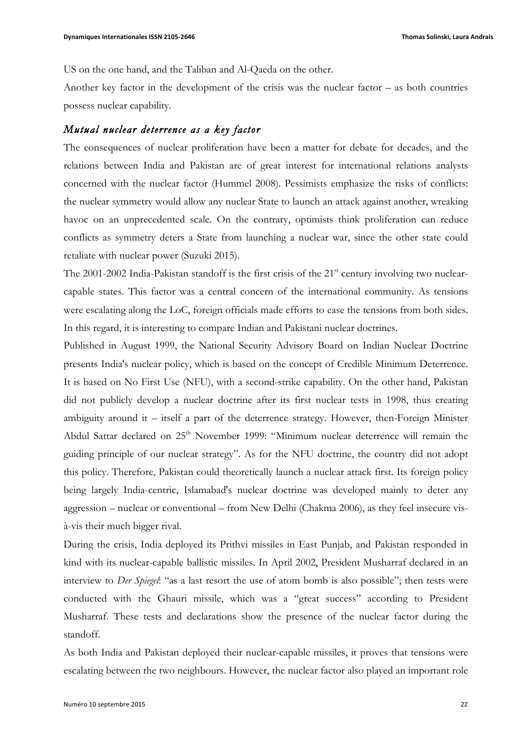US on the one hand, and the Taliban and Al-Qaeda on the other.

Another key factor in the development of the crisis was the nuclear factor – as both countries possess nuclear capability.

### *Mutual nuclear deterrence as a key factor*

The consequences of nuclear proliferation have been a matter for debate for decades, and the relations between India and Pakistan are of great interest for international relations analysts concerned with the nuclear factor (Hummel 2008). Pessimists emphasize the risks of conflicts: the nuclear symmetry would allow any nuclear State to launch an attack against another, wreaking havoc on an unprecedented scale. On the contrary, optimists think proliferation can reduce conflicts as symmetry deters a State from launching a nuclear war, since the other state could retaliate with nuclear power (Suzuki 2015).

The 2001-2002 India-Pakistan standoff is the first crisis of the  $21<sup>st</sup>$  century involving two nuclearcapable states. This factor was a central concern of the international community. As tensions were escalating along the LoC, foreign officials made efforts to ease the tensions from both sides. In this regard, it is interesting to compare Indian and Pakistani nuclear doctrines.

Published in August 1999, the National Security Advisory Board on Indian Nuclear Doctrine presents India's nuclear policy, which is based on the concept of Credible Minimum Deterrence. It is based on No First Use (NFU), with a second-strike capability. On the other hand, Pakistan did not publicly develop a nuclear doctrine after its first nuclear tests in 1998, thus creating ambiguity around it – itself a part of the deterrence strategy. However, then-Foreign Minister Abdul Sattar declared on 25<sup>th</sup> November 1999: "Minimum nuclear deterrence will remain the guiding principle of our nuclear strategy". As for the NFU doctrine, the country did not adopt this policy. Therefore, Pakistan could theoretically launch a nuclear attack first. Its foreign policy being largely India-centric, Islamabad's nuclear doctrine was developed mainly to deter any aggression – nuclear or conventional – from New Delhi (Chakma 2006), as they feel insecure visà-vis their much bigger rival.

During the crisis, India deployed its Prithvi missiles in East Punjab, and Pakistan responded in kind with its nuclear-capable ballistic missiles. In April 2002, President Musharraf declared in an interview to *Der Spiegel*: "as a last resort the use of atom bomb is also possible"; then tests were conducted with the Ghauri missile, which was a "great success" according to President Musharraf. These tests and declarations show the presence of the nuclear factor during the standoff.

As both India and Pakistan deployed their nuclear-capable missiles, it proves that tensions were escalating between the two neighbours. However, the nuclear factor also played an important role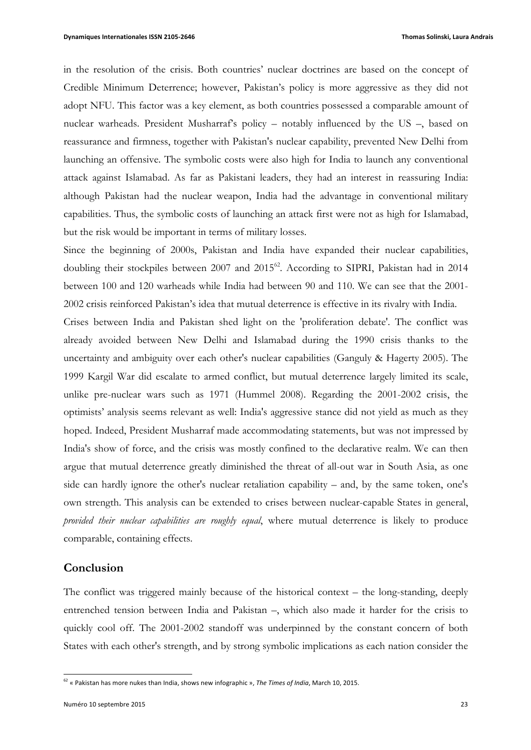in the resolution of the crisis. Both countries' nuclear doctrines are based on the concept of Credible Minimum Deterrence; however, Pakistan's policy is more aggressive as they did not adopt NFU. This factor was a key element, as both countries possessed a comparable amount of nuclear warheads. President Musharraf's policy – notably influenced by the US –, based on reassurance and firmness, together with Pakistan's nuclear capability, prevented New Delhi from launching an offensive. The symbolic costs were also high for India to launch any conventional attack against Islamabad. As far as Pakistani leaders, they had an interest in reassuring India: although Pakistan had the nuclear weapon, India had the advantage in conventional military capabilities. Thus, the symbolic costs of launching an attack first were not as high for Islamabad, but the risk would be important in terms of military losses.

Since the beginning of 2000s, Pakistan and India have expanded their nuclear capabilities, doubling their stockpiles between 2007 and 2015<sup>62</sup>. According to SIPRI, Pakistan had in 2014 between 100 and 120 warheads while India had between 90 and 110. We can see that the 2001- 2002 crisis reinforced Pakistan's idea that mutual deterrence is effective in its rivalry with India.

Crises between India and Pakistan shed light on the 'proliferation debate'. The conflict was already avoided between New Delhi and Islamabad during the 1990 crisis thanks to the uncertainty and ambiguity over each other's nuclear capabilities (Ganguly & Hagerty 2005). The 1999 Kargil War did escalate to armed conflict, but mutual deterrence largely limited its scale, unlike pre-nuclear wars such as 1971 (Hummel 2008). Regarding the 2001-2002 crisis, the optimists' analysis seems relevant as well: India's aggressive stance did not yield as much as they hoped. Indeed, President Musharraf made accommodating statements, but was not impressed by India's show of force, and the crisis was mostly confined to the declarative realm. We can then argue that mutual deterrence greatly diminished the threat of all-out war in South Asia, as one side can hardly ignore the other's nuclear retaliation capability – and, by the same token, one's own strength. This analysis can be extended to crises between nuclear-capable States in general, *provided their nuclear capabilities are roughly equal*, where mutual deterrence is likely to produce comparable, containing effects.

### **Conclusion**

The conflict was triggered mainly because of the historical context – the long-standing, deeply entrenched tension between India and Pakistan –, which also made it harder for the crisis to quickly cool off. The 2001-2002 standoff was underpinned by the constant concern of both States with each other's strength, and by strong symbolic implications as each nation consider the

 $^{62}$  « Pakistan has more nukes than India, shows new infographic », *The Times of India*, March 10, 2015.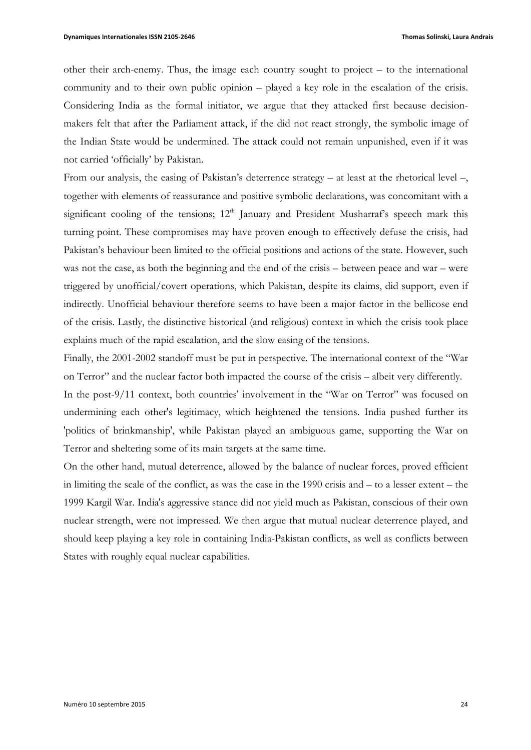other their arch-enemy. Thus, the image each country sought to project – to the international community and to their own public opinion – played a key role in the escalation of the crisis. Considering India as the formal initiator, we argue that they attacked first because decisionmakers felt that after the Parliament attack, if the did not react strongly, the symbolic image of the Indian State would be undermined. The attack could not remain unpunished, even if it was not carried 'officially' by Pakistan.

From our analysis, the easing of Pakistan's deterrence strategy – at least at the rhetorical level –, together with elements of reassurance and positive symbolic declarations, was concomitant with a significant cooling of the tensions;  $12<sup>th</sup>$  January and President Musharraf's speech mark this turning point. These compromises may have proven enough to effectively defuse the crisis, had Pakistan's behaviour been limited to the official positions and actions of the state. However, such was not the case, as both the beginning and the end of the crisis – between peace and war – were triggered by unofficial/covert operations, which Pakistan, despite its claims, did support, even if indirectly. Unofficial behaviour therefore seems to have been a major factor in the bellicose end of the crisis. Lastly, the distinctive historical (and religious) context in which the crisis took place explains much of the rapid escalation, and the slow easing of the tensions.

Finally, the 2001-2002 standoff must be put in perspective. The international context of the "War on Terror" and the nuclear factor both impacted the course of the crisis – albeit very differently.

In the post-9/11 context, both countries' involvement in the "War on Terror" was focused on undermining each other's legitimacy, which heightened the tensions. India pushed further its 'politics of brinkmanship', while Pakistan played an ambiguous game, supporting the War on Terror and sheltering some of its main targets at the same time.

On the other hand, mutual deterrence, allowed by the balance of nuclear forces, proved efficient in limiting the scale of the conflict, as was the case in the 1990 crisis and – to a lesser extent – the 1999 Kargil War. India's aggressive stance did not yield much as Pakistan, conscious of their own nuclear strength, were not impressed. We then argue that mutual nuclear deterrence played, and should keep playing a key role in containing India-Pakistan conflicts, as well as conflicts between States with roughly equal nuclear capabilities.